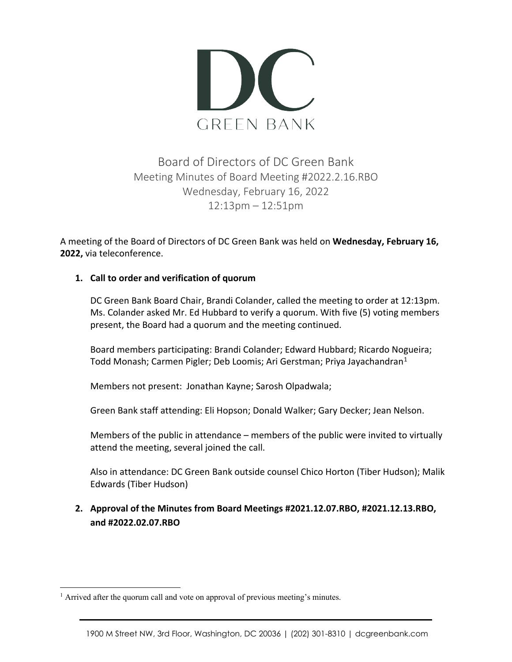

### Board of Directors of DC Green Bank Meeting Minutes of Board Meeting #2022.2.16.RBO Wednesday, February 16, 2022 12:13pm – 12:51pm

A meeting of the Board of Directors of DC Green Bank was held on **Wednesday, February 16, 2022,** via teleconference.

#### **1. Call to order and verification of quorum**

DC Green Bank Board Chair, Brandi Colander, called the meeting to order at 12:13pm. Ms. Colander asked Mr. Ed Hubbard to verify a quorum. With five (5) voting members present, the Board had a quorum and the meeting continued.

Board members participating: Brandi Colander; Edward Hubbard; Ricardo Nogueira; Todd Monash; Carmen Pigler; Deb Loomis; Ari Gerstman; Priya Jayachandran<sup>[1](#page-0-0)</sup>

Members not present: Jonathan Kayne; Sarosh Olpadwala;

Green Bank staff attending: Eli Hopson; Donald Walker; Gary Decker; Jean Nelson.

Members of the public in attendance – members of the public were invited to virtually attend the meeting, several joined the call.

Also in attendance: DC Green Bank outside counsel Chico Horton (Tiber Hudson); Malik Edwards (Tiber Hudson)

#### **2. Approval of the Minutes from Board Meetings #2021.12.07.RBO, #2021.12.13.RBO, and #2022.02.07.RBO**

<span id="page-0-0"></span><sup>&</sup>lt;sup>1</sup> Arrived after the quorum call and vote on approval of previous meeting's minutes.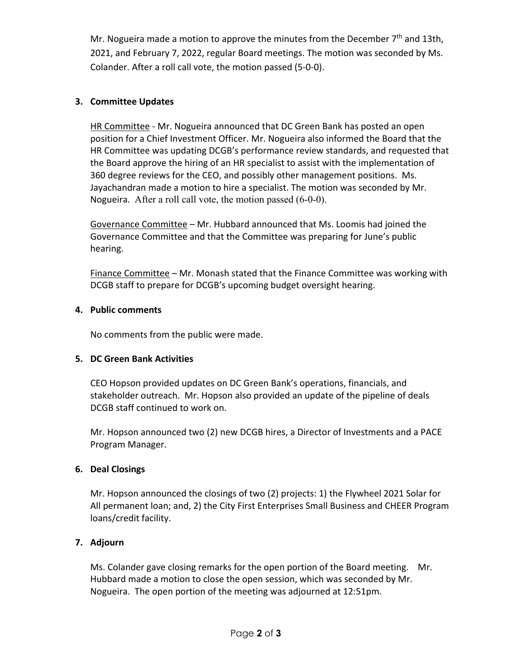Mr. Nogueira made a motion to approve the minutes from the December  $7<sup>th</sup>$  and 13th, 2021, and February 7, 2022, regular Board meetings. The motion was seconded by Ms. Colander. After a roll call vote, the motion passed (5-0-0).

#### **3. Committee Updates**

HR Committee - Mr. Nogueira announced that DC Green Bank has posted an open position for a Chief Investment Officer. Mr. Nogueira also informed the Board that the HR Committee was updating DCGB's performance review standards, and requested that the Board approve the hiring of an HR specialist to assist with the implementation of 360 degree reviews for the CEO, and possibly other management positions. Ms. Jayachandran made a motion to hire a specialist. The motion was seconded by Mr. Nogueira. After a roll call vote, the motion passed (6-0-0).

Governance Committee – Mr. Hubbard announced that Ms. Loomis had joined the Governance Committee and that the Committee was preparing for June's public hearing.

Finance Committee – Mr. Monash stated that the Finance Committee was working with DCGB staff to prepare for DCGB's upcoming budget oversight hearing.

#### **4. Public comments**

No comments from the public were made.

#### **5. DC Green Bank Activities**

CEO Hopson provided updates on DC Green Bank's operations, financials, and stakeholder outreach. Mr. Hopson also provided an update of the pipeline of deals DCGB staff continued to work on.

Mr. Hopson announced two (2) new DCGB hires, a Director of Investments and a PACE Program Manager.

#### **6. Deal Closings**

Mr. Hopson announced the closings of two (2) projects: 1) the Flywheel 2021 Solar for All permanent loan; and, 2) the City First Enterprises Small Business and CHEER Program loans/credit facility.

#### **7. Adjourn**

Ms. Colander gave closing remarks for the open portion of the Board meeting. Mr. Hubbard made a motion to close the open session, which was seconded by Mr. Nogueira. The open portion of the meeting was adjourned at 12:51pm.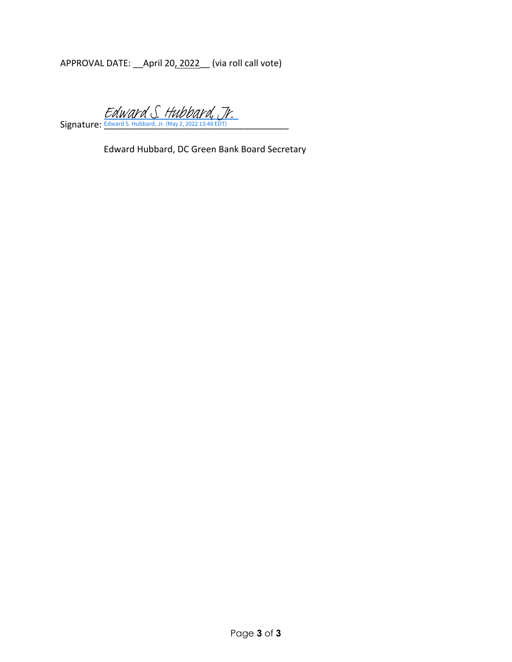APPROVAL DATE: \_\_April 20, 2022\_\_ (via roll call vote)

Signature: Edward S. Hubbard, Jr. (May 2, 2022 13:48 EDT) [Edward S. Hubbard, Jr.](https://na4.documents.adobe.com/verifier?tx=CBJCHBCAABAAqtKVa9XK0XHg_3swi9jkjjm38grru8ym)

Edward Hubbard, DC Green Bank Board Secretary